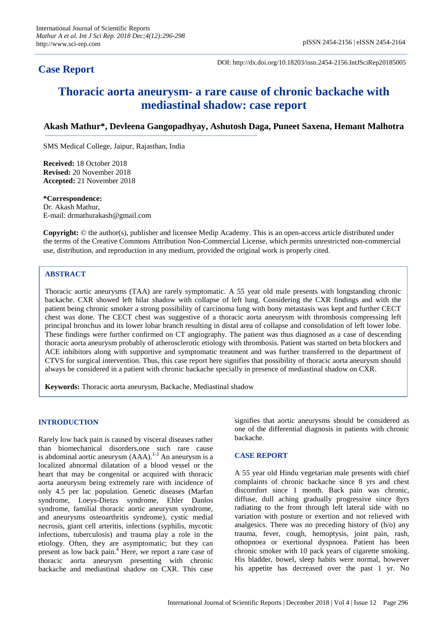# **Case Report**

DOI: http://dx.doi.org/10.18203/issn.2454-2156.IntJSciRep20185005

# **Thoracic aorta aneurysm- a rare cause of chronic backache with mediastinal shadow: case report**

# **Akash Mathur\*, Devleena Gangopadhyay, Ashutosh Daga, Puneet Saxena, Hemant Malhotra**

SMS Medical College, Jaipur, Rajasthan, India

**Received:** 18 October 2018 **Revised:** 20 November 2018 **Accepted:** 21 November 2018

#### **\*Correspondence:**

Dr. Akash Mathur, E-mail: drmathurakash@gmail.com

**Copyright:** © the author(s), publisher and licensee Medip Academy. This is an open-access article distributed under the terms of the Creative Commons Attribution Non-Commercial License, which permits unrestricted non-commercial use, distribution, and reproduction in any medium, provided the original work is properly cited.

#### **ABSTRACT**

Thoracic aortic aneurysms (TAA) are rarely symptomatic. A 55 year old male presents with longstanding chronic backache. CXR showed left hilar shadow with collapse of left lung. Considering the CXR findings and with the patient being chronic smoker a strong possibility of carcinoma lung with bony metastasis was kept and further CECT chest was done. The CECT chest was suggestive of a thoracic aorta aneurysm with thrombosis compressing left principal bronchus and its lower lobar branch resulting in distal area of collapse and consolidation of left lower lobe. These findings were further confirmed on CT angiography. The patient was thus diagnosed as a case of descending thoracic aorta aneurysm probably of atherosclerotic etiology with thrombosis. Patient was started on beta blockers and ACE inhibitors along with supportive and symptomatic treatment and was further transferred to the department of CTVS for surgical intervention. Thus, this case report here signifies that possibility of thoracic aorta aneurysm should always be considered in a patient with chronic backache specially in presence of mediastinal shadow on CXR.

**Keywords:** Thoracic aorta aneurysm, Backache, Mediastinal shadow

#### **INTRODUCTION**

Rarely low back pain is caused by visceral diseases rather than biomechanical disorders,one such rare cause is abdominal aortic aneurysm  $(AAA)$ .<sup>1-3</sup> An aneurysm is a localized abnormal dilatation of a blood vessel or the heart that may be congenital or acquired with thoracic aorta aneurysm being extremely rare with incidence of only 4.5 per lac population. Genetic diseases (Marfan syndrome, Loeys-Dietzs syndrome, Ehler Danlos syndrome, familial thoracic aortic aneurysm syndrome, and aneurysms osteoarthritis syndrome), cystic medial necrosis, giant cell arteritis, infections (syphilis, mycotic infections, tuberculosis) and trauma play a role in the etiology. Often, they are asymptomatic; but they can present as low back pain.<sup>4</sup> Here, we report a rare case of thoracic aorta aneurysm presenting with chronic backache and mediastinal shadow on CXR. This case signifies that aortic aneurysms should be considered as one of the differential diagnosis in patients with chronic backache.

## **CASE REPORT**

A 55 year old Hindu vegetarian male presents with chief complaints of chronic backache since 8 yrs and chest discomfort since 1 month. Back pain was chronic, diffuse, dull aching gradually progressive since 8yrs radiating to the front through left lateral side with no variation with posture or exertion and not relieved with analgesics. There was no preceding history of (h/o) any trauma, fever, cough, hemoptysis, joint pain, rash, othopnoea or exertional dyspnoea. Patient has been chronic smoker with 10 pack years of cigarette smoking. His bladder, bowel, sleep habits were normal, however his appetite has decreased over the past 1 yr. No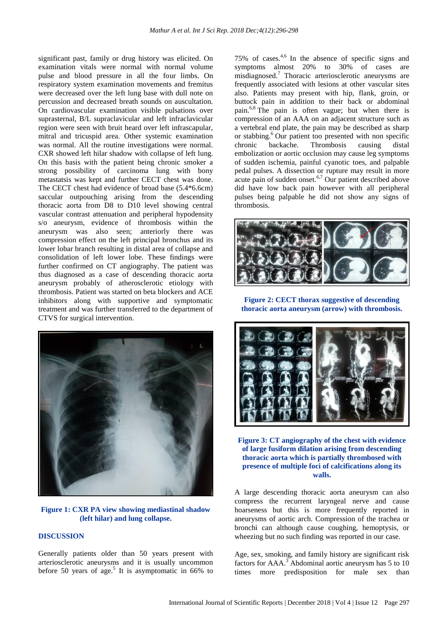significant past, family or drug history was elicited. On examination vitals were normal with normal volume pulse and blood pressure in all the four limbs. On respiratory system examination movements and fremitus were decreased over the left lung base with dull note on percussion and decreased breath sounds on auscultation. On cardiovascular examination visible pulsations over suprasternal, B/L supraclavicular and left infraclavicular region were seen with bruit heard over left infrascapular, mitral and tricuspid area. Other systemic examination was normal. All the routine investigations were normal. CXR showed left hilar shadow with collapse of left lung. On this basis with the patient being chronic smoker a strong possibility of carcinoma lung with bony metastatsis was kept and further CECT chest was done. The CECT chest had evidence of broad base (5.4\*6.6cm) saccular outpouching arising from the descending thoracic aorta from D8 to D10 level showing central vascular contrast attenuation and peripheral hypodensity s/o aneurysm, evidence of thrombosis within the aneurysm was also seen; anteriorly there was compression effect on the left principal bronchus and its lower lobar branch resulting in distal area of collapse and consolidation of left lower lobe. These findings were further confirmed on CT angiography. The patient was thus diagnosed as a case of descending thoracic aorta aneurysm probably of atherosclerotic etiology with thrombosis. Patient was started on beta blockers and ACE inhibitors along with supportive and symptomatic treatment and was further transferred to the department of CTVS for surgical intervention.



**Figure 1: CXR PA view showing mediastinal shadow (left hilar) and lung collapse.**

# **DISCUSSION**

Generally patients older than 50 years present with arteriosclerotic aneurysms and it is usually uncommon before 50 years of age.<sup>5</sup> It is asymptomatic in 66% to

75% of cases. 4,6 In the absence of specific signs and symptoms almost 20% to 30% of cases are misdiagnosed.<sup>7</sup> Thoracic arteriosclerotic aneurysms are frequently associated with lesions at other vascular sites also. Patients may present with hip, flank, groin, or buttock pain in addition to their back or abdominal pain.6,8 The pain is often vague; but when there is compression of an AAA on an adjacent structure such as a vertebral end plate, the pain may be described as sharp or stabbing.<sup>6</sup> Our patient too presented with non specific chronic backache. Thrombosis causing distal embolization or aortic occlusion may cause leg symptoms of sudden ischemia, painful cyanotic toes, and palpable pedal pulses. A dissection or rupture may result in more acute pain of sudden onset. $6,7$  Our patient described above did have low back pain however with all peripheral pulses being palpable he did not show any signs of thrombosis.



**Figure 2: CECT thorax suggestive of descending thoracic aorta aneurysm (arrow) with thrombosis.**



**Figure 3: CT angiography of the chest with evidence of large fusiform dilation arising from descending thoracic aorta which is partially thrombosed with presence of multiple foci of calcifications along its walls.**

A large descending thoracic aorta aneurysm can also compress the recurrent laryngeal nerve and cause hoarseness but this is more frequently reported in aneurysms of aortic arch. Compression of the trachea or bronchi can although cause coughing, hemoptysis, or wheezing but no such finding was reported in our case.

Age, sex, smoking, and family history are significant risk factors for AAA.<sup>3</sup> Abdominal aortic aneurysm has 5 to 10 times more predisposition for male sex than